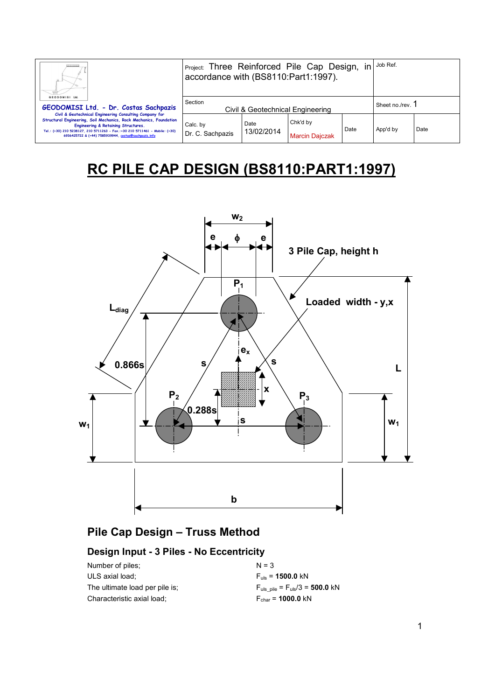| Ш.<br>GEODOMISI Ltd.                                                                                                                                                                                                                                                                                        | Project: Three Reinforced Pile Cap Design,<br>in i<br>accordance with (BS8110:Part1:1997). |                    |                                   |                  | Job Ref. |      |
|-------------------------------------------------------------------------------------------------------------------------------------------------------------------------------------------------------------------------------------------------------------------------------------------------------------|--------------------------------------------------------------------------------------------|--------------------|-----------------------------------|------------------|----------|------|
| GEODOMISI Ltd. - Dr. Costas Sachpazis                                                                                                                                                                                                                                                                       | Section<br>Civil & Geotechnical Engineering                                                |                    |                                   | Sheet no./rev. 1 |          |      |
| Civil & Geotechnical Engineering Consulting Company for<br>Structural Engineering, Soil Mechanics, Rock Mechanics, Foundation<br>Engineering & Retaining Structures.<br>Tel.: (+30) 210 5238127, 210 5711263 - Fax.:+30 210 5711461 - Mobile: (+30)<br>6936425722 & (+44) 7585939944, costas@sachpazis.info | Calc. by<br>Dr. C. Sachpazis                                                               | Date<br>13/02/2014 | Chk'd by<br><b>Marcin Dajczak</b> | Date             | App'd by | Date |

# **RC PILE CAP DESIGN (BS8110:PART1:1997)**



# **Pile Cap Design – Truss Method**

# **Design Input - 3 Piles - No Eccentricity**

| Number of piles:               | $N = 3$                                                     |
|--------------------------------|-------------------------------------------------------------|
| ULS axial load;                | $F_{\text{mis}} = 1500.0 \text{ kN}$                        |
| The ultimate load per pile is: | $F_{\text{uls pile}} = F_{\text{uls}}/3 = 500.0 \text{ kN}$ |
| Characteristic axial load;     | $F_{\text{char}}$ = 1000.0 kN                               |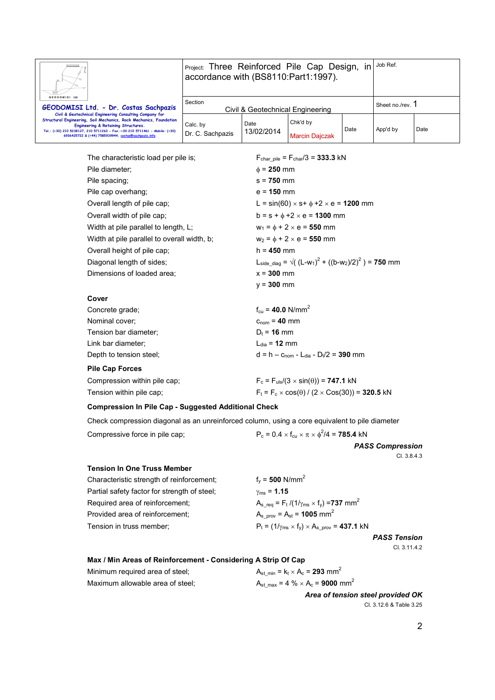| Ш.<br>GEODOMISI Ltd.                                                                                                                                                                                                                                                                                        | Project: Three Reinforced Pile Cap Design, in<br>accordance with (BS8110:Part1:1997). |                    |                                   |                | Job Ref. |      |
|-------------------------------------------------------------------------------------------------------------------------------------------------------------------------------------------------------------------------------------------------------------------------------------------------------------|---------------------------------------------------------------------------------------|--------------------|-----------------------------------|----------------|----------|------|
| GEODOMISI Ltd. - Dr. Costas Sachpazis                                                                                                                                                                                                                                                                       | Section<br>Civil & Geotechnical Engineering                                           |                    |                                   | Sheet no./rev. |          |      |
| Civil & Geotechnical Engineering Consulting Company for<br>Structural Engineering, Soil Mechanics, Rock Mechanics, Foundation<br>Engineering & Retaining Structures.<br>Tel.: (+30) 210 5238127, 210 5711263 - Fax.:+30 210 5711461 - Mobile: (+30)<br>6936425722 & (+44) 7585939944, costas@sachpazis.info | Calc. by<br>Dr. C. Sachpazis                                                          | Date<br>13/02/2014 | Chk'd by<br><b>Marcin Daiczak</b> | Date           | App'd by | Date |

The characteristic load per pile is; Pile diameter; Pile spacing; Pile cap overhang; Overall length of pile cap; Overall width of pile cap; Width at pile parallel to length, L; Width at pile parallel to overall width, b; Overall height of pile cap; Diagonal length of sides; Dimensions of loaded area;

**Cover** 

| $F_{char, pile} = F_{char}/3 = 333.3$ kN                                      |
|-------------------------------------------------------------------------------|
| $\phi$ = 250 mm                                                               |
| $s = 750$ mm                                                                  |
| $e = 150$ mm                                                                  |
| L = sin(60) $\times$ s+ $\phi$ +2 $\times$ e = 1200 mm                        |
| $b = s + \phi + 2 \times e = 1300$ mm                                         |
| $w_1 = \phi + 2 \times e = 550$ mm                                            |
| $w_2 = \phi + 2 \times e = 550$ mm                                            |
| h = <b>450</b> mm                                                             |
| L <sub>side diag</sub> = $\sqrt{(L-w_1)^2 + ((b-w_2)/2)^2}$ ) = <b>750</b> mm |
| $x = 300$ mm                                                                  |
| $v = 300$ mm                                                                  |
|                                                                               |
| $f_{\text{cu}} = 40.0 \text{ N/mm}^2$                                         |

| Concrete grade;              | $f_{\text{cu}} = 40.0 \text{ N/mm}^2$                 |
|------------------------------|-------------------------------------------------------|
| Nominal cover;               | $C_{\text{nom}} = 40$ mm                              |
| Tension bar diameter;        | $D_t = 16$ mm                                         |
| Link bar diameter;           | $L_{\text{dia}}$ = 12 mm                              |
| Depth to tension steel;      | $d = h - c_{\text{nom}} - L_{dia} - D_{t}/2 = 390$ mm |
| <b>Pile Cap Forces</b>       |                                                       |
| Compression within pile cap; | $F_c = F_{uls}/(3 \times sin(\theta)) = 747.1$ kN     |

Tension within pile cap;  $F_t = F_c \times cos(\theta) / (2 \times Cos(30)) = 320.5 kN$ 

### **Compression In Pile Cap - Suggested Additional Check**

Check compression diagonal as an unreinforced column, using a core equivalent to pile diameter

Compressive force in pile cap;

 $^{2}/4$  = **785.4** kN

*PASS Compression*  Cl. 3.8.4.3

#### **Tension In One Truss Member**

| Characteristic strength of reinforcement;    | $f_v = 500$ N/mm <sup>2</sup>                                                         |
|----------------------------------------------|---------------------------------------------------------------------------------------|
| Partial safety factor for strength of steel; | $v_{\rm ms} = 1.15$                                                                   |
| Required area of reinforcement;              | $A_{s \text{req}} = F_{t} / (1/\gamma_{\text{ms}} \times f_{v}) = 737 \text{ mm}^{2}$ |
| Provided area of reinforcement;              | $A_{s \text{ prov}} = A_{st} = 1005 \text{ mm}^2$                                     |
| Tension in truss member;                     | $P_t = (1/\gamma_{ms} \times f_v) \times A_{s-prov} = 437.1$ kN                       |
|                                              |                                                                                       |

*PASS Tension*  Cl. 3.11.4.2

#### **Max / Min Areas of Reinforcement - Considering A Strip Of Cap**

Minimum required area of steel;  $A_{st\_min} = k_t \times A_c = 293$  mm<sup>2</sup> Maximum allowable area of steel;  $A_{st,max} = 4 \% \times A_c = 9000$  mm<sup>2</sup>

*Area of tension steel provided OK*  Cl. 3.12.6 & Table 3.25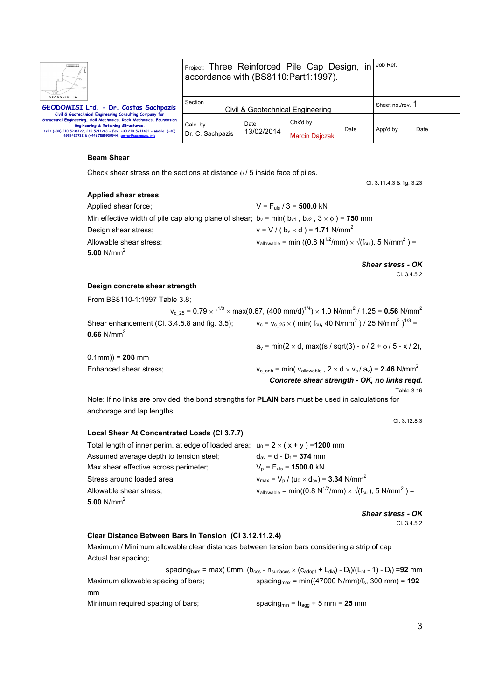| Ш.                                                                                                                                                                                                                                                                                                          | Project: Three Reinforced Pile Cap Design,<br>in<br>accordance with (BS8110:Part1:1997). |                    |                                   |                | Job Ref. |      |
|-------------------------------------------------------------------------------------------------------------------------------------------------------------------------------------------------------------------------------------------------------------------------------------------------------------|------------------------------------------------------------------------------------------|--------------------|-----------------------------------|----------------|----------|------|
| GEODOMISI Ltd.<br>GEODOMISI Ltd. - Dr. Costas Sachpazis                                                                                                                                                                                                                                                     | Section<br>Civil & Geotechnical Engineering                                              |                    |                                   | Sheet no./rev. |          |      |
| Civil & Geotechnical Engineering Consulting Company for<br>Structural Engineering, Soil Mechanics, Rock Mechanics, Foundation<br>Engineering & Retaining Structures.<br>Tel.: (+30) 210 5238127, 210 5711263 - Fax.:+30 210 5711461 - Mobile: (+30)<br>6936425722 & (+44) 7585939944, costas@sachpazis.info | Calc. by<br>Dr. C. Sachpazis                                                             | Date<br>13/02/2014 | Chk'd by<br><b>Marcin Daiczak</b> | Date           | App'd by | Date |

#### **Beam Shear**

Check shear stress on the sections at distance  $\phi$  / 5 inside face of piles.

Cl. 3.11.4.3 & fig. 3.23

#### **Applied shear stress**

| Applied shear force;                                                                                      | $V = F_{\text{uls}} / 3 = 500.0$ kN                                                                                      |
|-----------------------------------------------------------------------------------------------------------|--------------------------------------------------------------------------------------------------------------------------|
| Min effective width of pile cap along plane of shear; $b_v = min(b_{v1}, b_{v2}, 3 \times \phi) = 750$ mm |                                                                                                                          |
| Design shear stress:                                                                                      | $v = V / (b_v \times d) = 1.71$ N/mm <sup>2</sup>                                                                        |
| Allowable shear stress;                                                                                   | $V_{\text{allowable}} = \min ((0.8 \text{ N}^{1/2}/\text{mm}) \times \sqrt{(f_{\text{cu}})}, 5 \text{ N}/\text{mm}^2) =$ |
| 5.00 N/mm <sup>2</sup>                                                                                    |                                                                                                                          |
|                                                                                                           | <b>Shear stress - OK</b>                                                                                                 |

Cl. 3.4.5.2

#### **Design concrete shear strength**

| From BS8110-1:1997 Table 3.8;                 |                                                                                                                                                                  |
|-----------------------------------------------|------------------------------------------------------------------------------------------------------------------------------------------------------------------|
|                                               | $v_{c,25}$ = 0.79 $\times$ r <sup>1/3</sup> $\times$ max(0.67, (400 mm/d) <sup>1/4</sup> ) $\times$ 1.0 N/mm <sup>2</sup> / 1.25 = <b>0.56</b> N/mm <sup>2</sup> |
| Shear enhancement (Cl. 3.4.5.8 and fig. 3.5); | $v_c = v_c$ <sub>25</sub> × ( min( f <sub>cu</sub> , 40 N/mm <sup>2</sup> ) / 25 N/mm <sup>2</sup> ) <sup>1/3</sup> =                                            |
| $0.66$ N/mm <sup>2</sup>                      |                                                                                                                                                                  |
|                                               | $a_v = min(2 \times d, max((s / sqrt(3) - \phi / 2 + \phi / 5 - x / 2))$                                                                                         |
| $0.1$ mm $) = 208$ mm                         |                                                                                                                                                                  |
| Enhanced shear stress;                        | $v_{\rm c\,\, enh}$ = min( $v_{\rm allowable}$ , 2 $\times$ d $\times$ $v_{\rm c}$ / $a_{\rm v}$ ) = 2.46 N/mm <sup>2</sup>                                      |
|                                               | Concrete shear strength - OK, no links regd.                                                                                                                     |

Table 3.16

Note: If no links are provided, the bond strengths for **PLAIN** bars must be used in calculations for anchorage and lap lengths.

Cl. 3.12.8.3

## **Local Shear At Concentrated Loads (Cl 3.7.7)**

| Total length of inner perim. at edge of loaded area; $u_0 = 2 \times (x + y) = 1200$ mm |                                                                                                                          |
|-----------------------------------------------------------------------------------------|--------------------------------------------------------------------------------------------------------------------------|
| Assumed average depth to tension steel:                                                 | $d_{av} = d - D_t = 374$ mm                                                                                              |
| Max shear effective across perimeter;                                                   | $V_p = F_{uls} = 1500.0$ kN                                                                                              |
| Stress around loaded area;                                                              | $v_{\text{max}} = V_{\text{p}} / (u_0 \times d_{\text{av}}) = 3.34 \text{ N/mm}^2$                                       |
| Allowable shear stress;                                                                 | $V_{\text{allowable}} = \min((0.8 \text{ N}^{1/2}/\text{mm}) \times \sqrt{(f_{\text{cut}})}, 5 \text{ N}/\text{mm}^2) =$ |
| 5.00 $N/mm^2$                                                                           |                                                                                                                          |

*Shear stress - OK*  Cl. 3.4.5.2

#### **Clear Distance Between Bars In Tension (Cl 3.12.11.2.4)**

Maximum / Minimum allowable clear distances between tension bars considering a strip of cap Actual bar spacing;

 $s$ pacing<sub>bars</sub> = max( 0mm, ( $b_{ccs}$  -  $n_{surfaces}$  × ( $c_{adopt}$  +  $L_{dia}$ ) -  $D_t$ )/( $L_{nt}$  - 1) -  $D_t$ ) = 92 mm Maximum allowable spacing of bars;  $\qquad \qquad$  spacing<sub>max</sub> = min((47000 N/mm)/f<sub>s</sub>, 300 mm) = **192** mm Minimum required spacing of bars; spacing<sub>min</sub> =  $h_{agg}$  + 5 mm = 25 mm